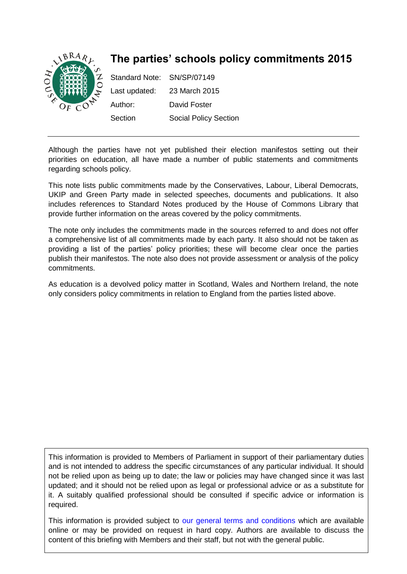

Although the parties have not yet published their election manifestos setting out their priorities on education, all have made a number of public statements and commitments regarding schools policy.

This note lists public commitments made by the Conservatives, Labour, Liberal Democrats, UKIP and Green Party made in selected speeches, documents and publications. It also includes references to Standard Notes produced by the House of Commons Library that provide further information on the areas covered by the policy commitments.

The note only includes the commitments made in the sources referred to and does not offer a comprehensive list of all commitments made by each party. It also should not be taken as providing a list of the parties' policy priorities; these will become clear once the parties publish their manifestos. The note also does not provide assessment or analysis of the policy commitments.

As education is a devolved policy matter in Scotland, Wales and Northern Ireland, the note only considers policy commitments in relation to England from the parties listed above.

This information is provided to Members of Parliament in support of their parliamentary duties and is not intended to address the specific circumstances of any particular individual. It should not be relied upon as being up to date; the law or policies may have changed since it was last updated; and it should not be relied upon as legal or professional advice or as a substitute for it. A suitably qualified professional should be consulted if specific advice or information is required.

This information is provided subject to [our general terms and conditions](http://www.parliament.uk/site-information/copyright/) which are available online or may be provided on request in hard copy. Authors are available to discuss the content of this briefing with Members and their staff, but not with the general public.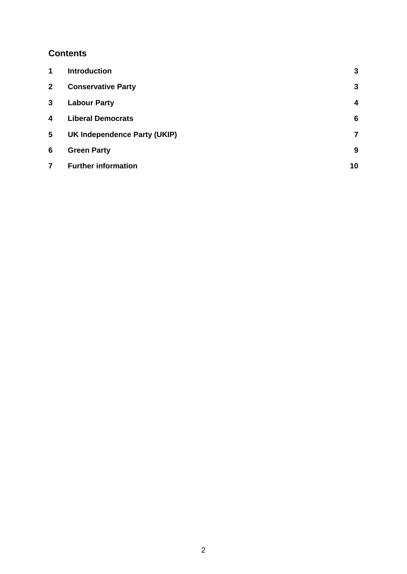## **Contents**

| 1            | <b>Introduction</b>          | 3  |
|--------------|------------------------------|----|
| $\mathbf{2}$ | <b>Conservative Party</b>    | 3  |
| 3            | <b>Labour Party</b>          | 4  |
| 4            | <b>Liberal Democrats</b>     | 6  |
| 5            | UK Independence Party (UKIP) | 7  |
| 6            | <b>Green Party</b>           | 9  |
| 7            | <b>Further information</b>   | 10 |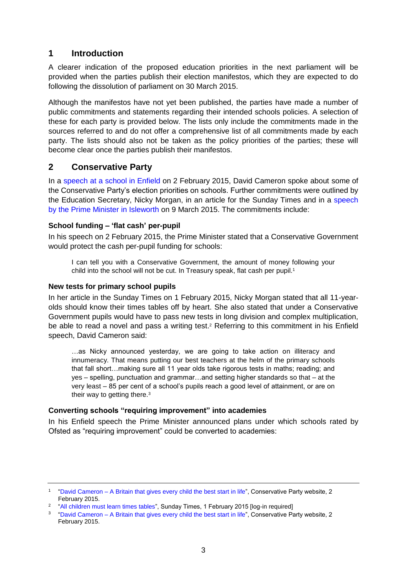## <span id="page-2-0"></span>**1 Introduction**

A clearer indication of the proposed education priorities in the next parliament will be provided when the parties publish their election manifestos, which they are expected to do following the dissolution of parliament on 30 March 2015.

Although the manifestos have not yet been published, the parties have made a number of public commitments and statements regarding their intended schools policies. A selection of these for each party is provided below. The lists only include the commitments made in the sources referred to and do not offer a comprehensive list of all commitments made by each party. The lists should also not be taken as the policy priorities of the parties; these will become clear once the parties publish their manifestos.

## <span id="page-2-1"></span>**2 Conservative Party**

In a [speech at a school in Enfield](http://press.conservatives.com/post/109906886845/david-cameron-a-britain-that-gives-every-child) on 2 February 2015, David Cameron spoke about some of the Conservative Party's election priorities on schools. Further commitments were outlined by the Education Secretary, Nicky Morgan, in an article for the Sunday Times and in a [speech](http://press.conservatives.com/post/113173098040/david-cameron-speech-on-free-schools)  [by the Prime Minister in Isleworth](http://press.conservatives.com/post/113173098040/david-cameron-speech-on-free-schools) on 9 March 2015. The commitments include:

## **School funding – 'flat cash' per-pupil**

In his speech on 2 February 2015, the Prime Minister stated that a Conservative Government would protect the cash per-pupil funding for schools:

I can tell you with a Conservative Government, the amount of money following your child into the school will not be cut. In Treasury speak, flat cash per pupil.<sup>1</sup>

### **New tests for primary school pupils**

In her article in the Sunday Times on 1 February 2015, Nicky Morgan stated that all 11-yearolds should know their times tables off by heart. She also stated that under a Conservative Government pupils would have to pass new tests in long division and complex multiplication, be able to read a novel and pass a writing test. <sup>2</sup> Referring to this commitment in his Enfield speech, David Cameron said:

…as Nicky announced yesterday, we are going to take action on illiteracy and innumeracy. That means putting our best teachers at the helm of the primary schools that fall short…making sure all 11 year olds take rigorous tests in maths; reading; and yes – spelling, punctuation and grammar…and setting higher standards so that – at the very least – 85 per cent of a school's pupils reach a good level of attainment, or are on their way to getting there.<sup>3</sup>

## **Converting schools "requiring improvement" into academies**

In his Enfield speech the Prime Minister announced plans under which schools rated by Ofsted as "requiring improvement" could be converted to academies:

<sup>1</sup> "David Cameron – [A Britain that gives every child the best start in life"](http://press.conservatives.com/post/109906886845/david-cameron-a-britain-that-gives-every-child), Conservative Party website, 2 February 2015.

<sup>&</sup>lt;sup>2</sup> ["All children must learn times tables"](http://www.thesundaytimes.co.uk/sto/news/uk_news/Education/article1513958.ece), Sunday Times, 1 February 2015 [log-in required]

<sup>&</sup>lt;sup>3</sup> "David Cameron – [A Britain that gives every child the best start in life"](http://press.conservatives.com/post/109906886845/david-cameron-a-britain-that-gives-every-child), Conservative Party website, 2 February 2015.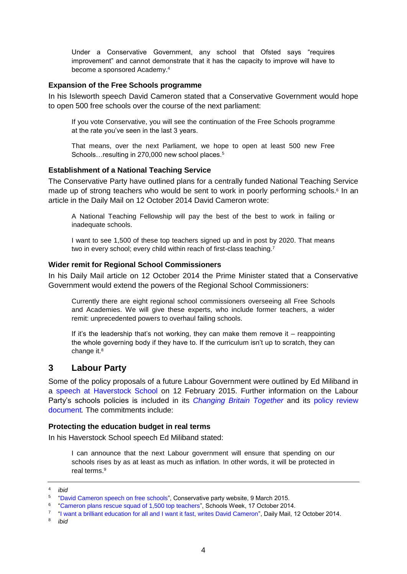Under a Conservative Government, any school that Ofsted says "requires improvement" and cannot demonstrate that it has the capacity to improve will have to become a sponsored Academy.<sup>4</sup>

#### **Expansion of the Free Schools programme**

In his Isleworth speech David Cameron stated that a Conservative Government would hope to open 500 free schools over the course of the next parliament:

If you vote Conservative, you will see the continuation of the Free Schools programme at the rate you've seen in the last 3 years.

That means, over the next Parliament, we hope to open at least 500 new Free Schools... resulting in 270,000 new school places.<sup>5</sup>

#### **Establishment of a National Teaching Service**

The Conservative Party have outlined plans for a centrally funded National Teaching Service made up of strong teachers who would be sent to work in poorly performing schools.<sup>6</sup> In an article in the Daily Mail on 12 October 2014 David Cameron wrote:

A National Teaching Fellowship will pay the best of the best to work in failing or inadequate schools.

I want to see 1,500 of these top teachers signed up and in post by 2020. That means two in every school; every child within reach of first-class teaching.<sup>7</sup>

#### **Wider remit for Regional School Commissioners**

In his Daily Mail article on 12 October 2014 the Prime Minister stated that a Conservative Government would extend the powers of the Regional School Commissioners:

Currently there are eight regional school commissioners overseeing all Free Schools and Academies. We will give these experts, who include former teachers, a wider remit: unprecedented powers to overhaul failing schools.

If it's the leadership that's not working, they can make them remove it – reappointing the whole governing body if they have to. If the curriculum isn't up to scratch, they can change it.<sup>8</sup>

## <span id="page-3-0"></span>**3 Labour Party**

Some of the policy proposals of a future Labour Government were outlined by Ed Miliband in a [speech at Haverstock School](http://press.labour.org.uk/post/110805266184/speech-by-ed-miliband-on-education-at-haverstock) on 12 February 2015. Further information on the Labour Party's schools policies is included in its *[Changing Britain Together](http://b.3cdn.net/labouruk/89012f856521e93a4d_phm6bflfq.pdf)* and its [policy review](http://www.yourbritain.org.uk/uploads/editor/files/SOCIETY_one_nation.pdf)  [document](http://www.yourbritain.org.uk/uploads/editor/files/SOCIETY_one_nation.pdf)*.* The commitments include:

#### **Protecting the education budget in real terms**

In his Haverstock School speech Ed Miliband stated:

I can announce that the next Labour government will ensure that spending on our schools rises by as at least as much as inflation. In other words, it will be protected in real terms.<sup>9</sup>

<sup>4</sup> *ibid*

<sup>5</sup> "David [Cameron speech on free schools"](http://press.conservatives.com/post/113173098040/david-cameron-speech-on-free-schools), Conservative party website, 9 March 2015.

<sup>6</sup> ["Cameron plans rescue squad of 1,500 top teachers"](http://schoolsweek.co.uk/cameron-plans-rescue-squad-of-1500-top-teachers/), Schools Week, 17 October 2014.

<sup>7</sup> ["I want a brilliant education for all and I want it fast, writes David Cameron"](http://www.dailymail.co.uk/news/article-2790386/i-want-brilliant-education-want-fast-writes-david-cameron.html), Daily Mail, 12 October 2014.

<sup>8</sup> *ibid*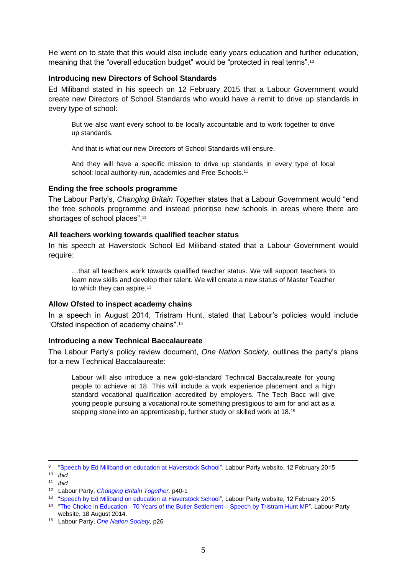He went on to state that this would also include early years education and further education, meaning that the "overall education budget" would be "protected in real terms".<sup>10</sup>

#### **Introducing new Directors of School Standards**

Ed Miliband stated in his speech on 12 February 2015 that a Labour Government would create new Directors of School Standards who would have a remit to drive up standards in every type of school:

But we also want every school to be locally accountable and to work together to drive up standards.

And that is what our new Directors of School Standards will ensure.

And they will have a specific mission to drive up standards in every type of local school: local authority-run, academies and Free Schools.<sup>11</sup>

#### **Ending the free schools programme**

The Labour Party's, *Changing Britain Together* states that a Labour Government would "end the free schools programme and instead prioritise new schools in areas where there are shortages of school places".<sup>12</sup>

#### **All teachers working towards qualified teacher status**

In his speech at Haverstock School Ed Miliband stated that a Labour Government would require:

…that all teachers work towards qualified teacher status. We will support teachers to learn new skills and develop their talent. We will create a new status of Master Teacher to which they can aspire.<sup>13</sup>

#### **Allow Ofsted to inspect academy chains**

In a speech in August 2014, Tristram Hunt, stated that Labour's policies would include "Ofsted inspection of academy chains".<sup>14</sup>

#### **Introducing a new Technical Baccalaureate**

The Labour Party's policy review document, *One Nation Society,* outlines the party's plans for a new Technical Baccalaureate:

Labour will also introduce a new gold-standard Technical Baccalaureate for young people to achieve at 18. This will include a work experience placement and a high standard vocational qualification accredited by employers. The Tech Bacc will give young people pursuing a vocational route something prestigious to aim for and act as a stepping stone into an apprenticeship, further study or skilled work at 18.<sup>15</sup>

9 ["Speech by Ed Miliband on education at Haverstock School"](http://press.labour.org.uk/post/110805266184/speech-by-ed-miliband-on-education-at-haverstock), Labour Party website, 12 February 2015 <sup>10</sup> *ibid*

 $\overline{a}$ 

<sup>11</sup> *ibid*

<sup>12</sup> Labour Party, *Changing Britain Together*, p40-1

<sup>&</sup>lt;sup>13</sup> ["Speech by Ed Miliband on education at Haverstock School"](http://press.labour.org.uk/post/110805266184/speech-by-ed-miliband-on-education-at-haverstock), Labour Party website, 12 February 2015

<sup>&</sup>lt;sup>14</sup> "The Choice in Education - [70 Years of the Butler Settlement –](http://press.labour.org.uk/post/95085249764/the-choice-in-education-70-years-of-the-butler) Speech by Tristram Hunt MP", Labour Party website, 18 August 2014.

<sup>15</sup> Labour Party, [One Nation Society,](http://www.yourbritain.org.uk/uploads/editor/files/SOCIETY_one_nation.pdf) p26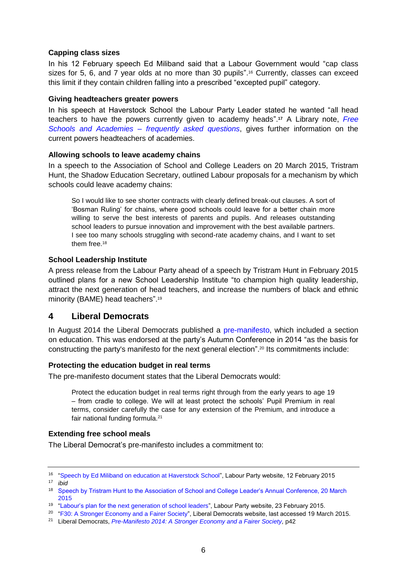### **Capping class sizes**

In his 12 February speech Ed Miliband said that a Labour Government would "cap class sizes for 5, 6, and 7 year olds at no more than 30 pupils". <sup>16</sup> Currently, classes can exceed this limit if they contain children falling into a prescribed "excepted pupil" category.

#### **Giving headteachers greater powers**

In his speech at Haverstock School the Labour Party Leader stated he wanted "all head teachers to have the powers currently given to academy heads". **<sup>17</sup>** A Library note, *[Free](http://www.parliament.uk/business/publications/research/briefing-papers/SN07059/free-schools-and-academies-frequently-asked-questions)  Schools and Academies – [frequently asked questions](http://www.parliament.uk/business/publications/research/briefing-papers/SN07059/free-schools-and-academies-frequently-asked-questions)*, gives further information on the current powers headteachers of academies.

### **Allowing schools to leave academy chains**

In a speech to the Association of School and College Leaders on 20 March 2015, Tristram Hunt, the Shadow Education Secretary, outlined Labour proposals for a mechanism by which schools could leave academy chains:

So I would like to see shorter contracts with clearly defined break-out clauses. A sort of 'Bosman Ruling' for chains, where good schools could leave for a better chain more willing to serve the best interests of parents and pupils. And releases outstanding school leaders to pursue innovation and improvement with the best available partners. I see too many schools struggling with second-rate academy chains, and I want to set them free.<sup>18</sup>

## **School Leadership Institute**

A press release from the Labour Party ahead of a speech by Tristram Hunt in February 2015 outlined plans for a new School Leadership Institute "to champion high quality leadership, attract the next generation of head teachers, and increase the numbers of black and ethnic minority (BAME) head teachers".<sup>19</sup>

## <span id="page-5-0"></span>**4 Liberal Democrats**

In August 2014 the Liberal Democrats published a [pre-manifesto,](http://www.libdems.org.uk/policy_paper_121) which included a section on education. This was endorsed at the party's Autumn Conference in 2014 "as the basis for constructing the party's manifesto for the next general election".<sup>20</sup> Its commitments include:

## **Protecting the education budget in real terms**

The pre-manifesto document states that the Liberal Democrats would:

Protect the education budget in real terms right through from the early years to age 19 – from cradle to college. We will at least protect the schools' Pupil Premium in real terms, consider carefully the case for any extension of the Premium, and introduce a fair national funding formula.<sup>21</sup>

#### **Extending free school meals**

The Liberal Democrat's pre-manifesto includes a commitment to:

<sup>&</sup>lt;sup>16</sup> ["Speech by Ed Miliband on education at Haverstock School"](http://press.labour.org.uk/post/110805266184/speech-by-ed-miliband-on-education-at-haverstock), Labour Party website, 12 February 2015

<sup>17</sup> *ibid*

<sup>18</sup> [Speech by Tristram Hunt to the Association of School and College Leader's Annual Conference, 20 March](http://ascl2015.modstreaming.com/od3)  [2015](http://ascl2015.modstreaming.com/od3)

<sup>19</sup> ["Labour's plan for the next generation of school leaders"](http://press.labour.org.uk/post/111842448404/labours-plan-for-the-next-generation-of-school), Labour Party website, 23 February 2015.

<sup>&</sup>lt;sup>20</sup> ["F30: A Stronger Economy and a Fairer Society"](http://www.libdems.org.uk/f30_a_stronger_economy_and_a_fairer_society), Liberal Democrats website, last accessed 19 March 2015.

<sup>&</sup>lt;sup>21</sup> Liberal Democrats, *Pre-Manifesto 2014: A Stronger Economy and a Fairer Society*, p42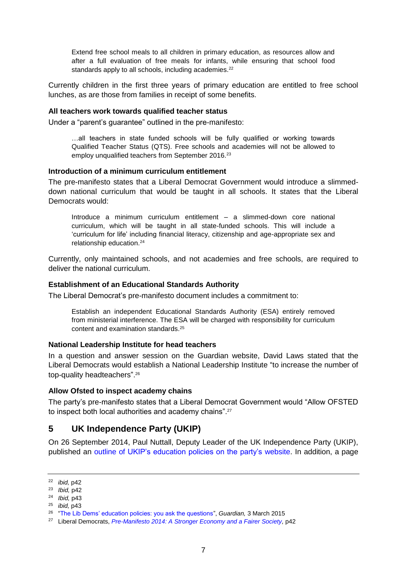Extend free school meals to all children in primary education, as resources allow and after a full evaluation of free meals for infants, while ensuring that school food standards apply to all schools, including academies.<sup>22</sup>

Currently children in the first three years of primary education are entitled to free school lunches, as are those from families in receipt of some benefits.

#### **All teachers work towards qualified teacher status**

Under a "parent's guarantee" outlined in the pre-manifesto:

…all teachers in state funded schools will be fully qualified or working towards Qualified Teacher Status (QTS). Free schools and academies will not be allowed to employ unqualified teachers from September 2016.<sup>23</sup>

#### **Introduction of a minimum curriculum entitlement**

The pre-manifesto states that a Liberal Democrat Government would introduce a slimmeddown national curriculum that would be taught in all schools. It states that the Liberal Democrats would:

Introduce a minimum curriculum entitlement – a slimmed-down core national curriculum, which will be taught in all state-funded schools. This will include a 'curriculum for life' including financial literacy, citizenship and age-appropriate sex and relationship education.<sup>24</sup>

Currently, only maintained schools, and not academies and free schools, are required to deliver the national curriculum.

#### **Establishment of an Educational Standards Authority**

The Liberal Democrat's pre-manifesto document includes a commitment to:

Establish an independent Educational Standards Authority (ESA) entirely removed from ministerial interference. The ESA will be charged with responsibility for curriculum content and examination standards.<sup>25</sup>

#### **National Leadership Institute for head teachers**

In a question and answer session on the Guardian website, David Laws stated that the Liberal Democrats would establish a National Leadership Institute "to increase the number of top-quality headteachers".<sup>26</sup>

#### **Allow Ofsted to inspect academy chains**

The party's pre-manifesto states that a Liberal Democrat Government would "Allow OFSTED to inspect both local authorities and academy chains".<sup>27</sup>

## <span id="page-6-0"></span>**5 UK Independence Party (UKIP)**

On 26 September 2014, Paul Nuttall, Deputy Leader of the UK Independence Party (UKIP), published an [outline of UKIP's education policies on the party's](http://www.ukip.org/paul_nuttall_a_better_education_system_for_a_better_britain) website. In addition, a page

<sup>22</sup> *ibid,* p42

<sup>23</sup> *Ibid,* p42

<sup>24</sup> *Ibid,* p43

<sup>25</sup> *ibid,* p43

<sup>26</sup> ["The Lib Dems' education policies: you ask the questions"](http://www.theguardian.com/politics/2015/mar/03/lib-dems-education-policies-schools-david-laws), *Guardian,* 3 March 2015

<sup>&</sup>lt;sup>27</sup> Liberal Democrats, *Pre-Manifesto 2014: A Stronger Economy and a Fairer Society*, p42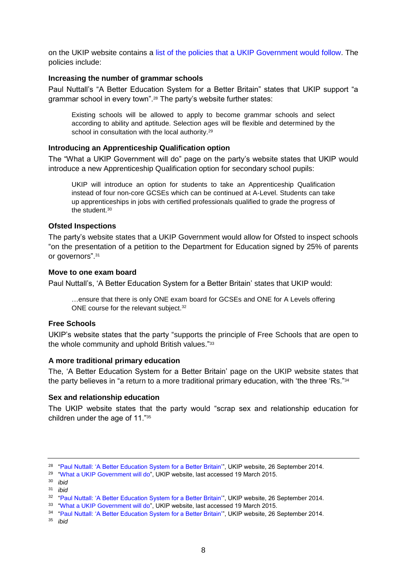on the UKIP website contains a [list of the policies that a UKIP Government would follow.](http://www.ukip.org/policies_for_people) The policies include:

#### **Increasing the number of grammar schools**

Paul Nuttall's "A Better Education System for a Better Britain" states that UKIP support "a grammar school in every town".<sup>28</sup> The party's website further states:

Existing schools will be allowed to apply to become grammar schools and select according to ability and aptitude. Selection ages will be flexible and determined by the school in consultation with the local authority.<sup>29</sup>

#### **Introducing an Apprenticeship Qualification option**

The "What a UKIP Government will do" page on the party's website states that UKIP would introduce a new Apprenticeship Qualification option for secondary school pupils:

UKIP will introduce an option for students to take an Apprenticeship Qualification instead of four non-core GCSEs which can be continued at A-Level. Students can take up apprenticeships in jobs with certified professionals qualified to grade the progress of the student.<sup>30</sup>

#### **Ofsted Inspections**

The party's website states that a UKIP Government would allow for Ofsted to inspect schools "on the presentation of a petition to the Department for Education signed by 25% of parents or governors".<sup>31</sup>

#### **Move to one exam board**

Paul Nuttall's, 'A Better Education System for a Better Britain' states that UKIP would:

…ensure that there is only ONE exam board for GCSEs and ONE for A Levels offering ONE course for the relevant subject.<sup>32</sup>

#### **Free Schools**

UKIP's website states that the party "supports the principle of Free Schools that are open to the whole community and uphold British values."<sup>33</sup>

#### **A more traditional primary education**

The, 'A Better Education System for a Better Britain' page on the UKIP website states that the party believes in "a return to a more traditional primary education, with 'the three 'Rs."<sup>34</sup>

#### **Sex and relationship education**

The UKIP website states that the party would "scrap sex and relationship education for children under the age of 11."<sup>35</sup>

<sup>&</sup>lt;sup>28</sup> ["Paul Nuttall: 'A Better Education System for a Better Britain'"](http://www.ukip.org/paul_nuttall_a_better_education_system_for_a_better_britain), UKIP website, 26 September 2014.

<sup>&</sup>lt;sup>29</sup> ["What a UKIP Government will do"](http://www.ukip.org/policies_for_people), UKIP website, last accessed 19 March 2015.

<sup>30</sup> *ibid*

<sup>31</sup> *ibid*

<sup>&</sup>lt;sup>32</sup> ["Paul Nuttall: 'A Better Education System for a Better Britain'"](http://www.ukip.org/paul_nuttall_a_better_education_system_for_a_better_britain), UKIP website, 26 September 2014.

<sup>&</sup>lt;sup>33</sup> ["What a UKIP Government will do"](http://www.ukip.org/policies_for_people), UKIP website, last accessed 19 March 2015.

<sup>&</sup>lt;sup>34</sup> ["Paul Nuttall: 'A Better Education System for a Better Britain'"](http://www.ukip.org/paul_nuttall_a_better_education_system_for_a_better_britain), UKIP website, 26 September 2014.

<sup>35</sup> *ibid*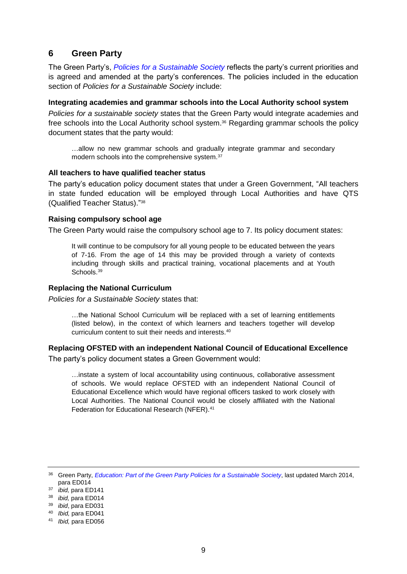## <span id="page-8-0"></span>**6 Green Party**

The Green Party's, *[Policies for a Sustainable Society](http://policy.greenparty.org.uk/assets/images/policy/pdfs/Education.pdf)* reflects the party's current priorities and is agreed and amended at the party's conferences. The policies included in the education section of *Policies for a Sustainable Society* include:

#### **Integrating academies and grammar schools into the Local Authority school system**

*Policies for a sustainable society* states that the Green Party would integrate academies and free schools into the Local Authority school system.<sup>36</sup> Regarding grammar schools the policy document states that the party would:

…allow no new grammar schools and gradually integrate grammar and secondary modern schools into the comprehensive system.<sup>37</sup>

#### **All teachers to have qualified teacher status**

The party's education policy document states that under a Green Government, "All teachers in state funded education will be employed through Local Authorities and have QTS (Qualified Teacher Status)." 38

#### **Raising compulsory school age**

The Green Party would raise the compulsory school age to 7. Its policy document states:

It will continue to be compulsory for all young people to be educated between the years of 7-16. From the age of 14 this may be provided through a variety of contexts including through skills and practical training, vocational placements and at Youth Schools.<sup>39</sup>

#### **Replacing the National Curriculum**

*Policies for a Sustainable Society* states that:

…the National School Curriculum will be replaced with a set of learning entitlements (listed below), in the context of which learners and teachers together will develop curriculum content to suit their needs and interests.<sup>40</sup>

#### **Replacing OFSTED with an independent National Council of Educational Excellence**

The party's policy document states a Green Government would:

…instate a system of local accountability using continuous, collaborative assessment of schools. We would replace OFSTED with an independent National Council of Educational Excellence which would have regional officers tasked to work closely with Local Authorities. The National Council would be closely affiliated with the National Federation for Educational Research (NFER).<sup>41</sup>

<sup>36</sup> Green Party, *[Education: Part of the Green Party Policies for a Sustainable Society](http://policy.greenparty.org.uk/assets/images/policy/pdfs/Education.pdf)*, last updated March 2014, para ED014

<sup>37</sup> *ibid,* para ED141

<sup>38</sup> *ibid,* para ED014

<sup>39</sup> *ibid*, para ED031

<sup>40</sup> *Ibid,* para ED041

<sup>41</sup> *Ibid,* para ED056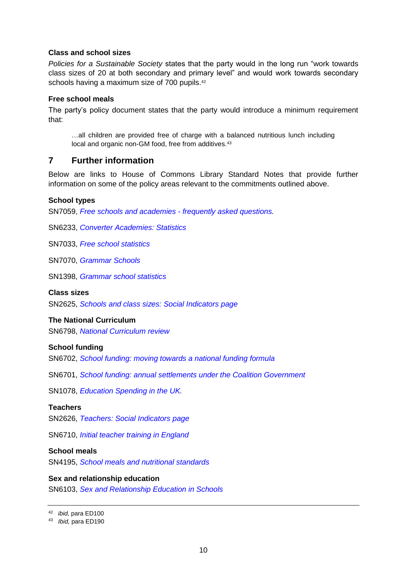#### **Class and school sizes**

*Policies for a Sustainable Society* states that the party would in the long run "work towards class sizes of 20 at both secondary and primary level" and would work towards secondary schools having a maximum size of 700 pupils.<sup>42</sup>

#### **Free school meals**

The party's policy document states that the party would introduce a minimum requirement that:

…all children are provided free of charge with a balanced nutritious lunch including local and organic non-GM food, free from additives.<sup>43</sup>

## <span id="page-9-0"></span>**7 Further information**

Below are links to House of Commons Library Standard Notes that provide further information on some of the policy areas relevant to the commitments outlined above.

#### **School types**

SN7059, *[Free schools and academies -](http://www.parliament.uk/business/publications/research/briefing-papers/SN07059/free-schools-and-academies-frequently-asked-questions) frequently asked questions.*

SN6233, *[Converter Academies: Statistics](http://www.parliament.uk/briefing-papers/SN06233/converter-academies-statistics)*

SN7033, *[Free school statistics](http://www.parliament.uk/briefing-papers/SN07033/free-school-statistics)*

SN7070, *[Grammar Schools](http://www.parliament.uk/briefing-papers/SN07070/grammar-schools)*

SN1398, *[Grammar school statistics](http://www.parliament.uk/briefing-papers/SN01398/grammar-school-statistics)*

#### **Class sizes**

SN2625, *[Schools and class sizes: Social Indicators page](http://www.parliament.uk/briefing-papers/SN02625/schools-and-class-sizes-social-indicators-page)*

#### **The National Curriculum**

SN6798, *[National Curriculum review](http://www.parliament.uk/briefing-papers/SN06798/national-curriculum-review)*

#### **School funding**

SN6702, *[School funding: moving towards a national funding formula](http://www.parliament.uk/briefing-papers/SN06702/school-funding-moving-towards-a-national-funding-formula)*

SN6701, *[School funding: annual settlements under the Coalition Government](http://www.parliament.uk/briefing-papers/SN06701/school-funding-annual-settlements-under-the-coalition-government)*

SN1078, *[Education Spending in the UK.](http://www.parliament.uk/business/publications/research/briefing-papers/SN01078/education-spending-in-the-uk)*

#### **Teachers**

SN2626, *[Teachers: Social Indicators page](http://www.parliament.uk/briefing-papers/SN02626/teachers-social-indicators-page)*

SN6710, *[Initial teacher training in England](http://www.parliament.uk/briefing-papers/SN06710/initial-teacher-training-in-england)*

## **School meals**

SN4195, *[School meals and nutritional standards](http://www.parliament.uk/briefing-papers/SN04195/school-meals-and-nutritional-standards)*

#### **Sex and relationship education**

SN6103, *[Sex and Relationship Education in Schools](http://www.parliament.uk/briefing-papers/SN06103/sex-and-relationship-education-in-schools)*

<sup>42</sup> *ibid,* para ED100

<sup>43</sup> *Ibid,* para ED190